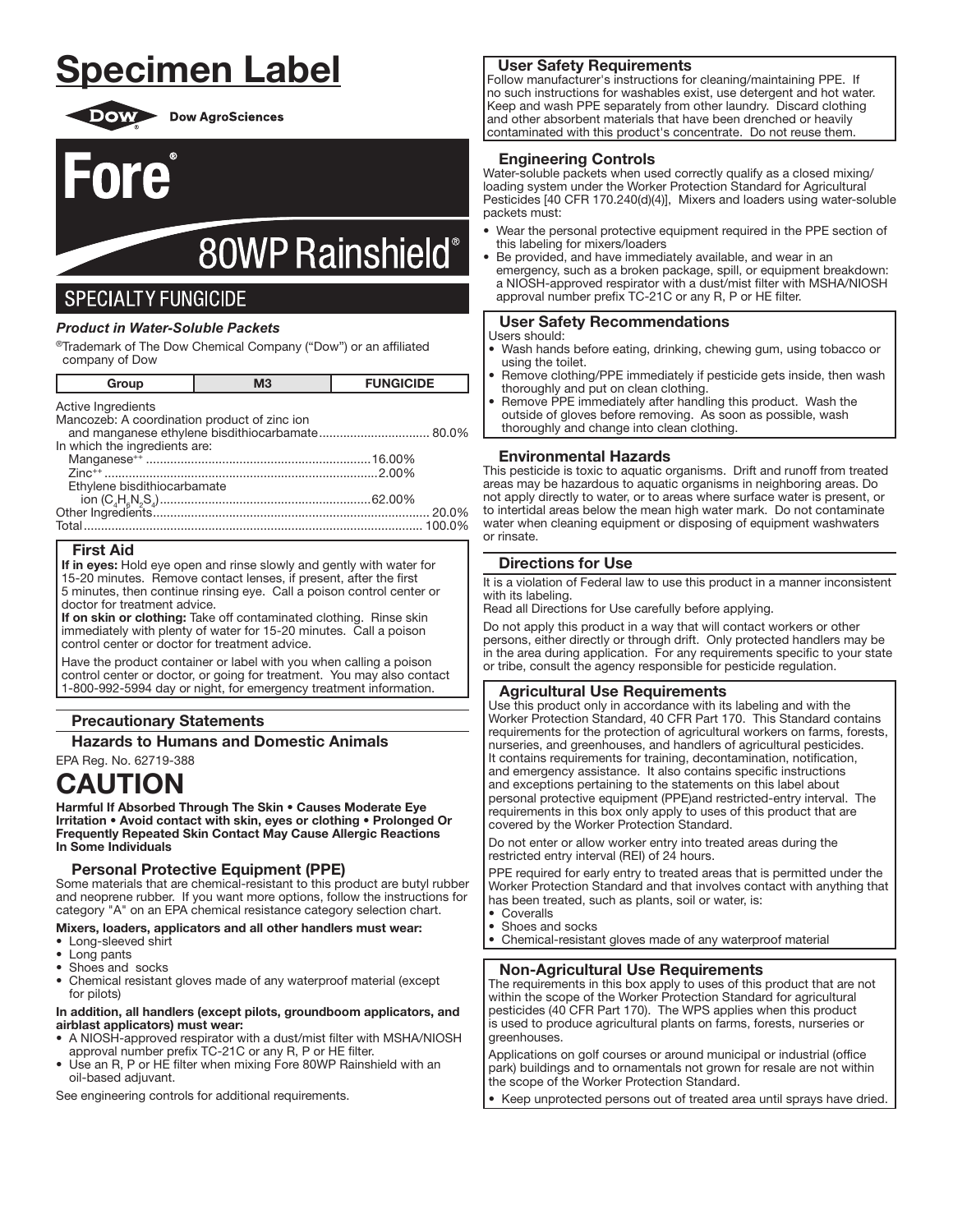# **Specimen Label**



Fore

**DOW** Dow AgroSciences

# 80WP Rainshield®

# **SPECIALTY FUNGICIDE**

# **Product in Water-Soluble Packets**

®Trademark of The Dow Chemical Company ("Dow") or an affiliated company of Dow

| Group                                        | M <sub>3</sub> | <b>FUNGICIDE</b> |
|----------------------------------------------|----------------|------------------|
| Active Ingredients                           |                |                  |
| Mancozeb: A coordination product of zinc ion |                |                  |
|                                              |                |                  |
| In which the ingredients are:                |                |                  |
|                                              |                |                  |
|                                              |                |                  |
| Ethylene bisdithiocarbamate                  |                |                  |
|                                              |                |                  |
|                                              |                | 20.0%            |
|                                              |                | 100.0%           |

# **First Aid**

If in eyes: Hold eye open and rinse slowly and gently with water for 15-20 minutes. Remove contact lenses, if present, after the first 5 minutes, then continue rinsing eye. Call a poison control center or doctor for treatment advice.

If on skin or clothing: Take off contaminated clothing. Rinse skin immediately with plenty of water for 15-20 minutes. Call a poison control center or doctor for treatment advice.

Have the product container or label with you when calling a poison control center or doctor, or going for treatment. You may also contact 1-800-992-5994 day or night, for emergency treatment information.

# **Precautionary Statements**

**Hazards to Humans and Domestic Animals** 

EPA Rea. No. 62719-388

# **CAUTION**

Harmful If Absorbed Through The Skin . Causes Moderate Eye Irritation . Avoid contact with skin, eyes or clothing . Prolonged Or Frequently Repeated Skin Contact May Cause Allergic Reactions In Some Individuals

# **Personal Protective Equipment (PPE)**

Some materials that are chemical-resistant to this product are butyl rubber and neoprene rubber. If you want more options, follow the instructions for category "A" on an EPA chemical resistance category selection chart.

# Mixers, loaders, applicators and all other handlers must wear:

- Long-sleeved shirt
- Long pants
- Shoes and socks
- Chemical resistant gloves made of any waterproof material (except for pilots)

#### In addition, all handlers (except pilots, groundboom applicators, and airblast applicators) must wear:

- A NIOSH-approved respirator with a dust/mist filter with MSHA/NIOSH approval number prefix TC-21C or any R, P or HE filter.
- Use an R, P or HE filter when mixing Fore 80WP Rainshield with an oil-based adjuvant.

See engineering controls for additional requirements.

# **User Safety Requirements**

Follow manufacturer's instructions for cleaning/maintaining PPE. If no such instructions for washables exist, use detergent and hot water. Keep and wash PPE separately from other laundry. Discard clothing and other absorbent materials that have been drenched or heavily contaminated with this product's concentrate. Do not reuse them.

# **Engineering Controls**

Water-soluble packets when used correctly qualify as a closed mixing/ loading system under the Worker Protection Standard for Agricultural Pesticides [40 CFR 170.240(d)(4)], Mixers and loaders using water-soluble packets must:

- Wear the personal protective equipment required in the PPE section of this labeling for mixers/loaders
- Be provided, and have immediately available, and wear in an emergency, such as a broken package, spill, or equipment breakdown: a NIOSH-approved respirator with a dust/mist filter with MSHA/NIOSH approval number prefix TC-21C or any R, P or HE filter.

# **User Safety Recommendations**

#### Users should:

- Wash hands before eating, drinking, chewing gum, using tobacco or using the toilet.
- Remove clothing/PPE immediately if pesticide gets inside, then wash thoroughly and put on clean clothing.
- Remove PPE immediately after handling this product. Wash the outside of gloves before removing. As soon as possible, wash thoroughly and change into clean clothing.

# **Environmental Hazards**

This pesticide is toxic to aquatic organisms. Drift and runoff from treated areas may be hazardous to aquatic organisms in neighboring areas. Do not apply directly to water, or to areas where surface water is present, or to intertidal areas below the mean high water mark. Do not contaminate water when cleaning equipment or disposing of equipment washwaters or rinsate.

# **Directions for Use**

It is a violation of Federal law to use this product in a manner inconsistent with its labeling.

Read all Directions for Use carefully before applying.

Do not apply this product in a way that will contact workers or other persons, either directly or through drift. Only protected handlers may be in the area during application. For any requirements specific to your state or tribe, consult the agency responsible for pesticide regulation.

# **Agricultural Use Requirements**

Use this product only in accordance with its labeling and with the Worker Protection Standard, 40 CFR Part 170. This Standard contains requirements for the protection of agricultural workers on farms, forests, nurseries, and greenhouses, and handlers of agricultural pesticides. It contains requirements for training, decontamination, notification, and emergency assistance. It also contains specific instructions and exceptions pertaining to the statements on this label about personal protective equipment (PPE) and restricted-entry interval. The requirements in this box only apply to uses of this product that are covered by the Worker Protection Standard.

Do not enter or allow worker entry into treated areas during the restricted entry interval (REI) of 24 hours.

PPE required for early entry to treated areas that is permitted under the Worker Protection Standard and that involves contact with anything that has been treated, such as plants, soil or water, is:

- Coveralls
- Shoes and socks  $\bullet$ Chemical-resistant gloves made of any waterproof material

# **Non-Agricultural Use Requirements**

The requirements in this box apply to uses of this product that are not within the scope of the Worker Protection Standard for agricultural pesticides (40 CFR Part 170). The WPS applies when this product is used to produce agricultural plants on farms, forests, nurseries or greenhouses.

Applications on golf courses or around municipal or industrial (office park) buildings and to ornamentals not grown for resale are not within the scope of the Worker Protection Standard.

Keep unprotected persons out of treated area until sprays have dried.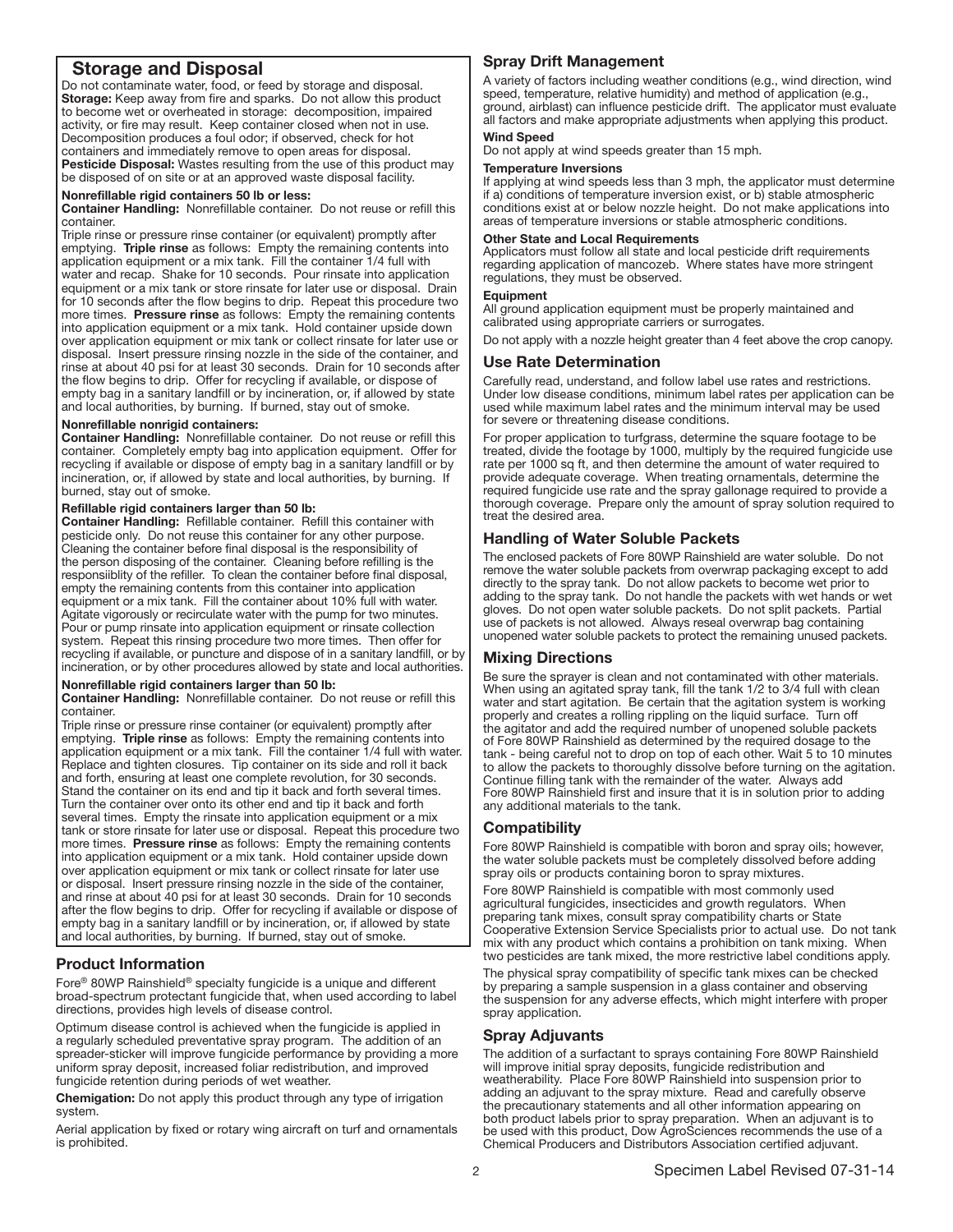# Storage and Disposal

Do not contaminate water, food, or feed by storage and disposal. Storage: Keep away from fire and sparks. Do not allow this product to become wet or overheated in storage: decomposition, impaired activity, or fire may result. Keep container closed when not in use. Decomposition produces a foul odor; if observed, check for hot containers and immediately remove to open areas for disposal. Pesticide Disposal: Wastes resulting from the use of this product may be disposed of on site or at an approved waste disposal facility.

#### Nonrefillable rigid containers 50 lb or less:

Container Handling: Nonrefillable container. Do not reuse or refill this container.

Triple rinse or pressure rinse container (or equivalent) promptly after emptying. Triple rinse as follows: Empty the remaining contents into application equipment or a mix tank. Fill the container 1/4 full with water and recap. Shake for 10 seconds. Pour rinsate into application equipment or a mix tank or store rinsate for later use or disposal. Drain for 10 seconds after the flow begins to drip. Repeat this procedure two more times. Pressure rinse as follows: Empty the remaining contents into application equipment or a mix tank. Hold container upside down over application equipment or mix tank or collect rinsate for later use or disposal. Insert pressure rinsing nozzle in the side of the container, and rinse at about 40 psi for at least 30 seconds. Drain for 10 seconds after the flow begins to drip. Offer for recycling if available, or dispose of empty bag in a sanitary landfill or by incineration, or, if allowed by state and local authorities, by burning. If burned, stay out of smoke.

#### Nonrefillable nonrigid containers:

Container Handling: Nonrefillable container. Do not reuse or refill this container. Completely empty bag into application equipment. Offer for recycling if available or dispose of empty bag in a sanitary landfill or by incineration, or, if allowed by state and local authorities, by burning. If burned, stay out of smoke.

#### Refillable rigid containers larger than 50 lb:

Container Handling: Refillable container. Refill this container with pesticide only. Do not reuse this container for any other purpose. Cleaning the container before final disposal is the responsibility of the person disposing of the container. Cleaning before refilling is the responsiiblity of the refiller. To clean the container before final disposal, empty the remaining contents from this container into application equipment or a mix tank. Fill the container about 10% full with water. Agitate vigorously or recirculate water with the pump for two minutes. Pour or pump rinsate into application equipment or rinsate collection system. Repeat this rinsing procedure two more times. Then offer for recycling if available, or puncture and dispose of in a sanitary landfill, or by incineration, or by other procedures allowed by state and local authorities.

#### Nonrefillable rigid containers larger than 50 lb:

Container Handling: Nonrefillable container. Do not reuse or refill this container�

Triple rinse or pressure rinse container (or equivalent) promptly after emptying. Triple rinse as follows: Empty the remaining contents into application equipment or a mix tank. Fill the container 1/4 full with water. Replace and tighten closures. Tip container on its side and roll it back and forth, ensuring at least one complete revolution, for 30 seconds. Stand the container on its end and tip it back and forth several times. Turn the container over onto its other end and tip it back and forth several times. Empty the rinsate into application equipment or a mix tank or store rinsate for later use or disposal. Repeat this procedure two more times. Pressure rinse as follows: Empty the remaining contents into application equipment or a mix tank. Hold container upside down over application equipment or mix tank or collect rinsate for later use or disposal. Insert pressure rinsing nozzle in the side of the container, and rinse at about 40 psi for at least 30 seconds. Drain for 10 seconds after the flow begins to drip. Offer for recycling if available or dispose of empty bag in a sanitary landfill or by incineration, or, if allowed by state and local authorities, by burning. If burned, stay out of smoke. Ļ

# Product Information

Fore® 80WP Rainshield® specialty fungicide is a unique and different broad-spectrum protectant fungicide that, when used according to label directions, provides high levels of disease control.

Optimum disease control is achieved when the fungicide is applied in a regularly scheduled preventative spray program. The addition of an spreader-sticker will improve fungicide performance by providing a more uniform spray deposit, increased foliar redistribution, and improved fungicide retention during periods of wet weather.

Chemigation: Do not apply this product through any type of irrigation system�

Aerial application by fixed or rotary wing aircraft on turf and ornamentals is prohibited.

# Spray Drift Management

A variety of factors including weather conditions (e.g., wind direction, wind speed, temperature, relative humidity) and method of application (e.g., ground, airblast) can influence pesticide drift. The applicator must evaluate all factors and make appropriate adjustments when applying this product.

#### Wind Speed

Do not apply at wind speeds greater than 15 mph.

#### Temperature Inversions

If applying at wind speeds less than 3 mph, the applicator must determine if a) conditions of temperature inversion exist, or b) stable atmospheric conditions exist at or below nozzle height. Do not make applications into areas of temperature inversions or stable atmospheric conditions.

#### Other State and Local Requirements

Applicators must follow all state and local pesticide drift requirements regarding application of mancozeb. Where states have more stringent regulations, they must be observed.

#### **Equipment**

All ground application equipment must be properly maintained and calibrated using appropriate carriers or surrogates.

Do not apply with a nozzle height greater than 4 feet above the crop canopy.

#### Use Rate Determination

Carefully read, understand, and follow label use rates and restrictions. Under low disease conditions, minimum label rates per application can be used while maximum label rates and the minimum interval may be used for severe or threatening disease conditions.

For proper application to turfgrass, determine the square footage to be treated, divide the footage by 1000, multiply by the required fungicide use rate per 1000 sq ft, and then determine the amount of water required to provide adequate coverage. When treating ornamentals, determine the required fungicide use rate and the spray gallonage required to provide a thorough coverage. Prepare only the amount of spray solution required to treat the desired area.

#### Handling of Water Soluble Packets

The enclosed packets of Fore 80WP Rainshield are water soluble. Do not remove the water soluble packets from overwrap packaging except to add directly to the spray tank. Do not allow packets to become wet prior to adding to the spray tank. Do not handle the packets with wet hands or wet gloves. Do not open water soluble packets. Do not split packets. Partial use of packets is not allowed. Always reseal overwrap bag containing unopened water soluble packets to protect the remaining unused packets.

# Mixing Directions

Be sure the sprayer is clean and not contaminated with other materials. When using an agitated spray tank, fill the tank 1/2 to 3/4 full with clean water and start agitation. Be certain that the agitation system is working properly and creates a rolling rippling on the liquid surface. Turn off the agitator and add the required number of unopened soluble packets of Fore 80WP Rainshield as determined by the required dosage to the tank - being careful not to drop on top of each other. Wait 5 to 10 minutes to allow the packets to thoroughly dissolve before turning on the agitation. Continue filling tank with the remainder of the water. Always add Fore 80WP Rainshield first and insure that it is in solution prior to adding any additional materials to the tank.

# Compatibility

Fore 80WP Rainshield is compatible with boron and spray oils; however, the water soluble packets must be completely dissolved before adding spray oils or products containing boron to spray mixtures.

Fore 80WP Rainshield is compatible with most commonly used agricultural fungicides, insecticides and growth regulators. When preparing tank mixes, consult spray compatibility charts or State Cooperative Extension Service Specialists prior to actual use. Do not tank mix with any product which contains a prohibition on tank mixing. When two pesticides are tank mixed, the more restrictive label conditions apply.

The physical spray compatibility of specific tank mixes can be checked by preparing a sample suspension in a glass container and observing the suspension for any adverse effects, which might interfere with proper spray application.

# Spray Adjuvants

The addition of a surfactant to sprays containing Fore 80WP Rainshield will improve initial spray deposits, fungicide redistribution and weatherability. Place Fore 80WP Rainshield into suspension prior to adding an adjuvant to the spray mixture. Read and carefully observe the precautionary statements and all other information appearing on both product labels prior to spray preparation. When an adjuvant is to be used with this product, Dow AgroSciences recommends the use of a Chemical Producers and Distributors Association certified adjuvant�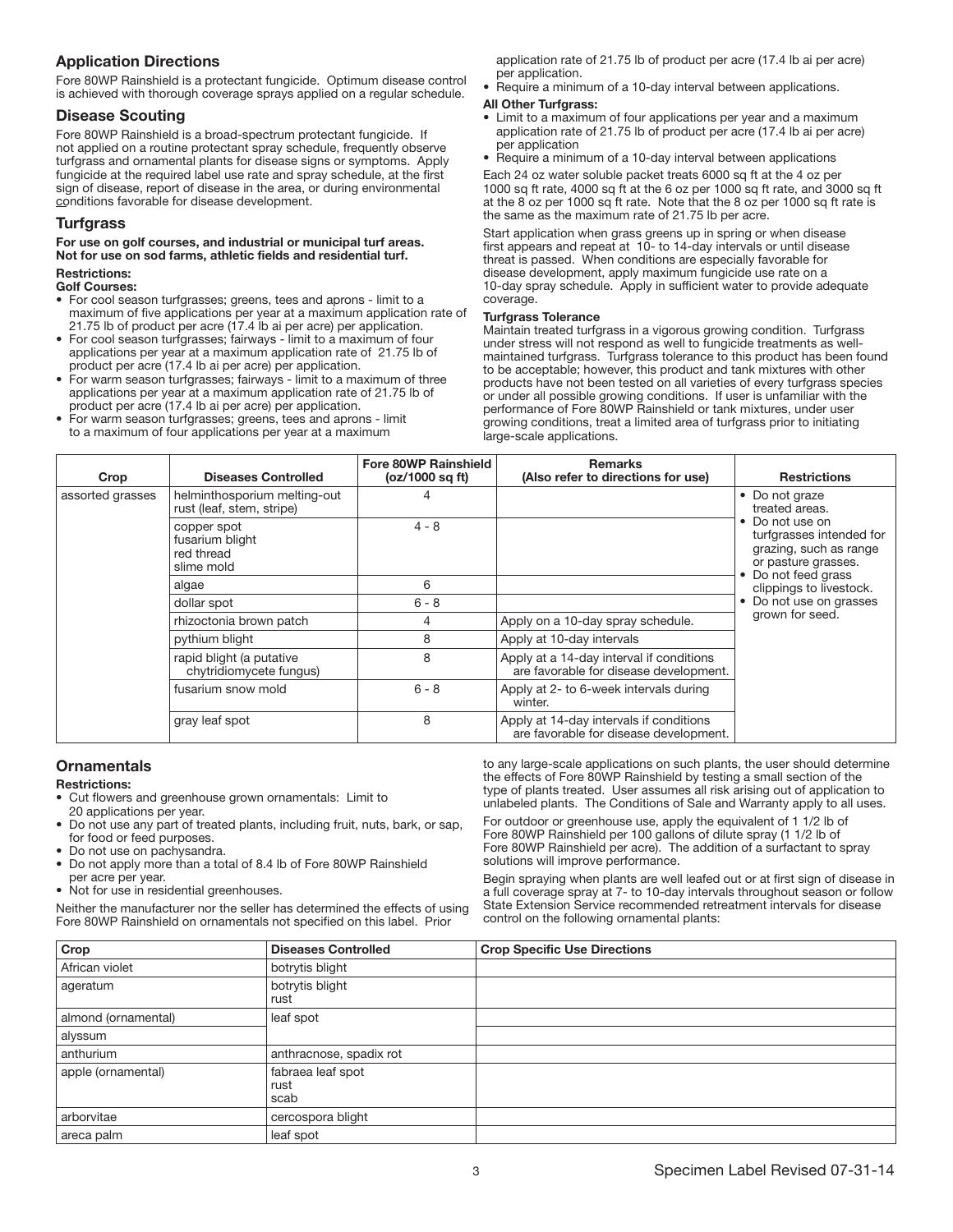# Application Directions

Fore 80WP Rainshield is a protectant fungicide. Optimum disease control is achieved with thorough coverage sprays applied on a regular schedule.

# Disease Scouting

Fore 80WP Rainshield is a broad-spectrum protectant fungicide. If not applied on a routine protectant spray schedule, frequently observe turfgrass and ornamental plants for disease signs or symptoms� Apply fungicide at the required label use rate and spray schedule, at the first sign of disease, report of disease in the area, or during environmental conditions favorable for disease development.

# Turfgrass

#### For use on golf courses, and industrial or municipal turf areas. Not for use on sod farms, athletic fields and residential turf. Restrictions:

# Golf Courses:

- For cool season turfgrasses; greens, tees and aprons limit to a maximum of five applications per year at a maximum application rate of 21.75 lb of product per acre (17.4 lb ai per acre) per application.
- For cool season turfgrasses; fairways limit to a maximum of four applications per year at a maximum application rate of 21.75 lb of product per acre (17.4 lb ai per acre) per application.
- For warm season turfgrasses; fairways limit to a maximum of three applications per year at a maximum application rate of 21.75 lb of product per acre (17.4 lb ai per acre) per application.
- For warm season turfgrasses; greens, tees and aprons limit to a maximum of four applications per year at a maximum

application rate of 21.75 lb of product per acre (17.4 lb ai per acre) per application.

• Require a minimum of a 10-day interval between applications.

#### All Other Turfgrass:

- Limit to a maximum of four applications per year and a maximum application rate of 21.75 lb of product per acre (17.4 lb ai per acre) per application
- Require a minimum of a 10-day interval between applications

Each 24 oz water soluble packet treats 6000 sq ft at the 4 oz per 1000 sq ft rate, 4000 sq ft at the 6 oz per 1000 sq ft rate, and 3000 sq ft at the 8 oz per 1000 sq ft rate. Note that the 8 oz per 1000 sq ft rate is the same as the maximum rate of 21.75 lb per acre.

Start application when grass greens up in spring or when disease first appears and repeat at 10- to 14-day intervals or until disease threat is passed. When conditions are especially favorable for disease development, apply maximum fungicide use rate on a 10-day spray schedule. Apply in sufficient water to provide adequate coverage.

#### Turfgrass Tolerance

Maintain treated turfgrass in a vigorous growing condition. Turfgrass under stress will not respond as well to fungicide treatments as wellmaintained turfgrass. Turfgrass tolerance to this product has been found to be acceptable; however, this product and tank mixtures with other products have not been tested on all varieties of every turfgrass species or under all possible growing conditions. If user is unfamiliar with the performance of Fore 80WP Rainshield or tank mixtures, under user growing conditions, treat a limited area of turfgrass prior to initiating large-scale applications.

| Crop             | <b>Diseases Controlled</b>                                 | Fore 80WP Rainshield<br>(oz/1000 sq ft) | <b>Remarks</b><br>(Also refer to directions for use)                               | <b>Restrictions</b>                                                                                             |
|------------------|------------------------------------------------------------|-----------------------------------------|------------------------------------------------------------------------------------|-----------------------------------------------------------------------------------------------------------------|
| assorted grasses | helminthosporium melting-out<br>rust (leaf, stem, stripe)  |                                         |                                                                                    | • Do not graze<br>treated areas.                                                                                |
|                  | copper spot<br>fusarium blight<br>red thread<br>slime mold | $4 - 8$                                 |                                                                                    | Do not use on<br>turfgrasses intended for<br>grazing, such as range<br>or pasture grasses.<br>Do not feed grass |
|                  | algae                                                      | 6                                       |                                                                                    | clippings to livestock.                                                                                         |
|                  | dollar spot                                                | $6 - 8$                                 |                                                                                    | Do not use on grasses                                                                                           |
|                  | rhizoctonia brown patch                                    | 4                                       | Apply on a 10-day spray schedule.                                                  | grown for seed.                                                                                                 |
|                  | pythium blight                                             | 8                                       | Apply at 10-day intervals                                                          |                                                                                                                 |
|                  | rapid blight (a putative<br>chytridiomycete fungus)        | 8                                       | Apply at a 14-day interval if conditions<br>are favorable for disease development. |                                                                                                                 |
|                  | fusarium snow mold                                         | $6 - 8$                                 | Apply at 2- to 6-week intervals during<br>winter.                                  |                                                                                                                 |
|                  | gray leaf spot                                             | 8                                       | Apply at 14-day intervals if conditions<br>are favorable for disease development.  |                                                                                                                 |

# **Ornamentals**

#### Restrictions:

- Cut flowers and greenhouse grown ornamentals: Limit to
- 20 applications per year.
- Do not use any part of treated plants, including fruit, nuts, bark, or sap, for food or feed purposes. Do not use on pachysandra.
- Do not apply more than a total of 8.4 lb of Fore 80WP Rainshield
- per acre per year.
- Not for use in residential greenhouses.

Neither the manufacturer nor the seller has determined the effects of using Fore 80WP Rainshield on ornamentals not specified on this label. Prior

to any large-scale applications on such plants, the user should determine the effects of Fore 80WP Rainshield by testing a small section of the type of plants treated. User assumes all risk arising out of application to unlabeled plants. The Conditions of Sale and Warranty apply to all uses.

For outdoor or greenhouse use, apply the equivalent of 1 1/2 lb of Fore 80WP Rainshield per 100 gallons of dilute spray (1 1/2 lb of Fore 80WP Rainshield per acre). The addition of a surfactant to spray solutions will improve performance.

Begin spraying when plants are well leafed out or at first sign of disease in a full coverage spray at 7- to 10-day intervals throughout season or follow State Extension Service recommended retreatment intervals for disease control on the following ornamental plants:

| Crop                | <b>Diseases Controlled</b>        | <b>Crop Specific Use Directions</b> |
|---------------------|-----------------------------------|-------------------------------------|
| African violet      | botrytis blight                   |                                     |
| ageratum            | botrytis blight<br>rust           |                                     |
| almond (ornamental) | leaf spot                         |                                     |
| alyssum             |                                   |                                     |
| anthurium           | anthracnose, spadix rot           |                                     |
| apple (ornamental)  | fabraea leaf spot<br>rust<br>scab |                                     |
| arborvitae          | cercospora blight                 |                                     |
| areca palm          | leaf spot                         |                                     |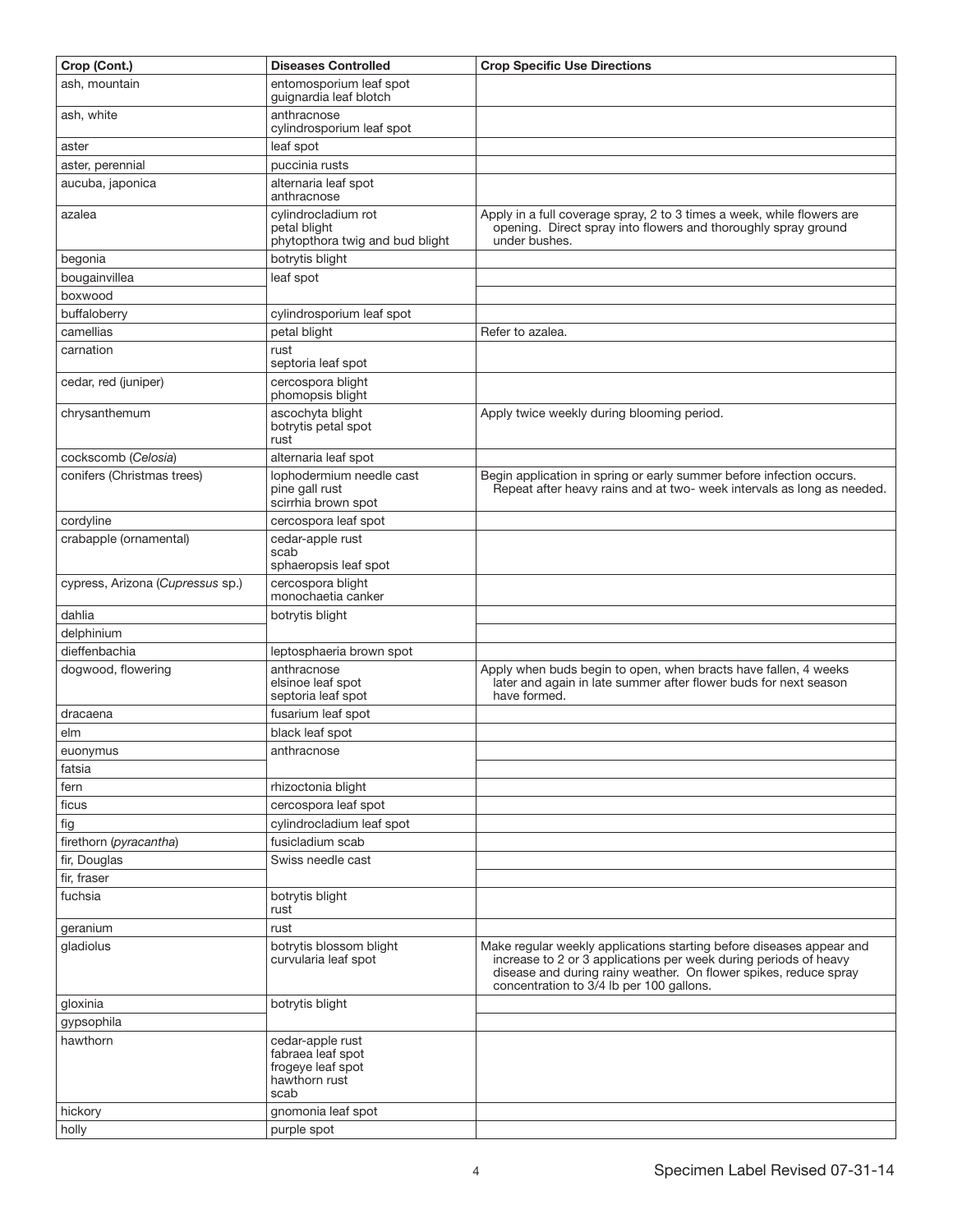| Crop (Cont.)                     | <b>Diseases Controlled</b>                                                          | <b>Crop Specific Use Directions</b>                                                                                                                                                                                                                      |
|----------------------------------|-------------------------------------------------------------------------------------|----------------------------------------------------------------------------------------------------------------------------------------------------------------------------------------------------------------------------------------------------------|
| ash, mountain                    | entomosporium leaf spot<br>guignardia leaf blotch                                   |                                                                                                                                                                                                                                                          |
| ash, white                       | anthracnose<br>cylindrosporium leaf spot                                            |                                                                                                                                                                                                                                                          |
| aster                            | leaf spot                                                                           |                                                                                                                                                                                                                                                          |
| aster, perennial                 | puccinia rusts                                                                      |                                                                                                                                                                                                                                                          |
| aucuba, japonica                 | alternaria leaf spot<br>anthracnose                                                 |                                                                                                                                                                                                                                                          |
| azalea                           | cylindrocladium rot<br>petal blight<br>phytopthora twig and bud blight              | Apply in a full coverage spray, 2 to 3 times a week, while flowers are<br>opening. Direct spray into flowers and thoroughly spray ground<br>under bushes.                                                                                                |
| begonia                          | botrytis blight                                                                     |                                                                                                                                                                                                                                                          |
| bougainvillea                    | leaf spot                                                                           |                                                                                                                                                                                                                                                          |
| boxwood                          |                                                                                     |                                                                                                                                                                                                                                                          |
| buffaloberry                     | cylindrosporium leaf spot                                                           |                                                                                                                                                                                                                                                          |
| camellias                        | petal blight                                                                        | Refer to azalea.                                                                                                                                                                                                                                         |
| carnation                        | rust<br>septoria leaf spot                                                          |                                                                                                                                                                                                                                                          |
| cedar, red (juniper)             | cercospora blight<br>phomopsis blight                                               |                                                                                                                                                                                                                                                          |
| chrysanthemum                    | ascochyta blight<br>botrytis petal spot<br>rust                                     | Apply twice weekly during blooming period.                                                                                                                                                                                                               |
| cockscomb (Celosia)              | alternaria leaf spot                                                                |                                                                                                                                                                                                                                                          |
| conifers (Christmas trees)       | lophodermium needle cast<br>pine gall rust<br>scirrhia brown spot                   | Begin application in spring or early summer before infection occurs.<br>Repeat after heavy rains and at two- week intervals as long as needed.                                                                                                           |
| cordyline                        | cercospora leaf spot                                                                |                                                                                                                                                                                                                                                          |
| crabapple (ornamental)           | cedar-apple rust<br>scab<br>sphaeropsis leaf spot                                   |                                                                                                                                                                                                                                                          |
| cypress, Arizona (Cupressus sp.) | cercospora blight<br>monochaetia canker                                             |                                                                                                                                                                                                                                                          |
| dahlia                           | botrytis blight                                                                     |                                                                                                                                                                                                                                                          |
| delphinium                       |                                                                                     |                                                                                                                                                                                                                                                          |
| dieffenbachia                    | leptosphaeria brown spot                                                            |                                                                                                                                                                                                                                                          |
| dogwood, flowering               | anthracnose<br>elsinoe leaf spot<br>septoria leaf spot                              | Apply when buds begin to open, when bracts have fallen, 4 weeks<br>later and again in late summer after flower buds for next season<br>have formed.                                                                                                      |
| dracaena                         | fusarium leaf spot                                                                  |                                                                                                                                                                                                                                                          |
| elm                              | black leaf spot                                                                     |                                                                                                                                                                                                                                                          |
| euonvmus                         | anthracnose                                                                         |                                                                                                                                                                                                                                                          |
| fatsia                           |                                                                                     |                                                                                                                                                                                                                                                          |
| fern                             | rhizoctonia blight                                                                  |                                                                                                                                                                                                                                                          |
| ficus                            | cercospora leaf spot                                                                |                                                                                                                                                                                                                                                          |
| fig                              | cylindrocladium leaf spot                                                           |                                                                                                                                                                                                                                                          |
| firethorn (pyracantha)           | fusicladium scab                                                                    |                                                                                                                                                                                                                                                          |
| fir, Douglas                     | Swiss needle cast                                                                   |                                                                                                                                                                                                                                                          |
| fir, fraser                      |                                                                                     |                                                                                                                                                                                                                                                          |
| fuchsia                          | botrytis blight<br>rust                                                             |                                                                                                                                                                                                                                                          |
| geranium                         | rust                                                                                |                                                                                                                                                                                                                                                          |
| gladiolus                        | botrytis blossom blight<br>curvularia leaf spot                                     | Make regular weekly applications starting before diseases appear and<br>increase to 2 or 3 applications per week during periods of heavy<br>disease and during rainy weather. On flower spikes, reduce spray<br>concentration to 3/4 lb per 100 gallons. |
| gloxinia                         | botrytis blight                                                                     |                                                                                                                                                                                                                                                          |
| gypsophila                       |                                                                                     |                                                                                                                                                                                                                                                          |
| hawthorn                         | cedar-apple rust<br>fabraea leaf spot<br>frogeye leaf spot<br>hawthorn rust<br>scab |                                                                                                                                                                                                                                                          |
| hickory                          | gnomonia leaf spot                                                                  |                                                                                                                                                                                                                                                          |
| holly                            | purple spot                                                                         |                                                                                                                                                                                                                                                          |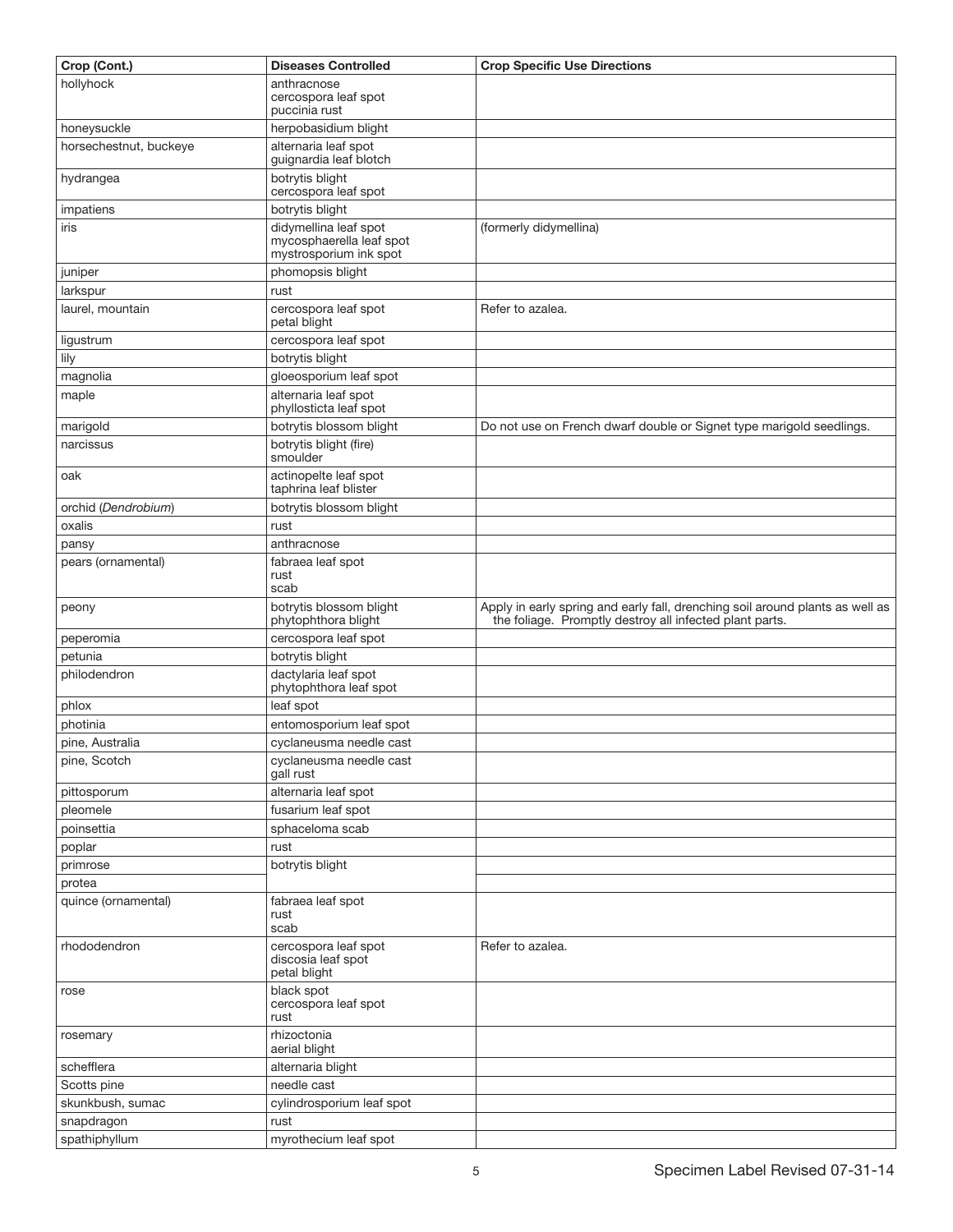| Crop (Cont.)           | <b>Diseases Controlled</b>                                                  | <b>Crop Specific Use Directions</b>                                                                                                      |
|------------------------|-----------------------------------------------------------------------------|------------------------------------------------------------------------------------------------------------------------------------------|
| hollyhock              | anthracnose                                                                 |                                                                                                                                          |
|                        | cercospora leaf spot<br>puccinia rust                                       |                                                                                                                                          |
| honeysuckle            | herpobasidium blight                                                        |                                                                                                                                          |
| horsechestnut, buckeye | alternaria leaf spot                                                        |                                                                                                                                          |
|                        | guignardia leaf blotch                                                      |                                                                                                                                          |
| hydrangea              | botrytis blight<br>cercospora leaf spot                                     |                                                                                                                                          |
| impatiens              | botrytis blight                                                             |                                                                                                                                          |
| iris                   | didymellina leaf spot<br>mycosphaerella leaf spot<br>mystrosporium ink spot | (formerly didymellina)                                                                                                                   |
| juniper                | phomopsis blight                                                            |                                                                                                                                          |
| larkspur               | rust                                                                        |                                                                                                                                          |
| laurel, mountain       | cercospora leaf spot<br>petal blight                                        | Refer to azalea.                                                                                                                         |
| ligustrum              | cercospora leaf spot                                                        |                                                                                                                                          |
| lily                   | botrytis blight                                                             |                                                                                                                                          |
| magnolia               | gloeosporium leaf spot                                                      |                                                                                                                                          |
| maple                  | alternaria leaf spot<br>phyllosticta leaf spot                              |                                                                                                                                          |
| marigold               | botrytis blossom blight                                                     | Do not use on French dwarf double or Signet type marigold seedlings.                                                                     |
| narcissus              | botrytis blight (fire)<br>smoulder                                          |                                                                                                                                          |
| oak                    | actinopelte leaf spot<br>taphrina leaf blister                              |                                                                                                                                          |
| orchid (Dendrobium)    | botrytis blossom blight                                                     |                                                                                                                                          |
| oxalis                 | rust                                                                        |                                                                                                                                          |
| pansy                  | anthracnose                                                                 |                                                                                                                                          |
| pears (ornamental)     | fabraea leaf spot<br>rust<br>scab                                           |                                                                                                                                          |
| peony                  | botrytis blossom blight<br>phytophthora blight                              | Apply in early spring and early fall, drenching soil around plants as well as<br>the foliage. Promptly destroy all infected plant parts. |
| peperomia              | cercospora leaf spot                                                        |                                                                                                                                          |
| petunia                | botrytis blight                                                             |                                                                                                                                          |
| philodendron           | dactylaria leaf spot<br>phytophthora leaf spot                              |                                                                                                                                          |
| phlox                  | leaf spot                                                                   |                                                                                                                                          |
| photinia               | entomosporium leaf spot                                                     |                                                                                                                                          |
| pine, Australia        | cyclaneusma needle cast                                                     |                                                                                                                                          |
| pine, Scotch           | cyclaneusma needle cast<br>gall rust                                        |                                                                                                                                          |
| pittosporum            | alternaria leaf spot                                                        |                                                                                                                                          |
| pleomele               | fusarium leaf spot                                                          |                                                                                                                                          |
| poinsettia             | sphaceloma scab                                                             |                                                                                                                                          |
| poplar                 | rust                                                                        |                                                                                                                                          |
| primrose               | botrytis blight                                                             |                                                                                                                                          |
| protea                 |                                                                             |                                                                                                                                          |
| quince (ornamental)    | fabraea leaf spot<br>rust<br>scab                                           |                                                                                                                                          |
| rhododendron           | cercospora leaf spot<br>discosia leaf spot<br>petal blight                  | Refer to azalea.                                                                                                                         |
| rose                   | black spot<br>cercospora leaf spot<br>rust                                  |                                                                                                                                          |
| rosemary               | rhizoctonia<br>aerial blight                                                |                                                                                                                                          |
| schefflera             | alternaria blight                                                           |                                                                                                                                          |
| Scotts pine            | needle cast                                                                 |                                                                                                                                          |
| skunkbush, sumac       | cylindrosporium leaf spot                                                   |                                                                                                                                          |
| snapdragon             | rust                                                                        |                                                                                                                                          |
| spathiphyllum          | myrothecium leaf spot                                                       |                                                                                                                                          |